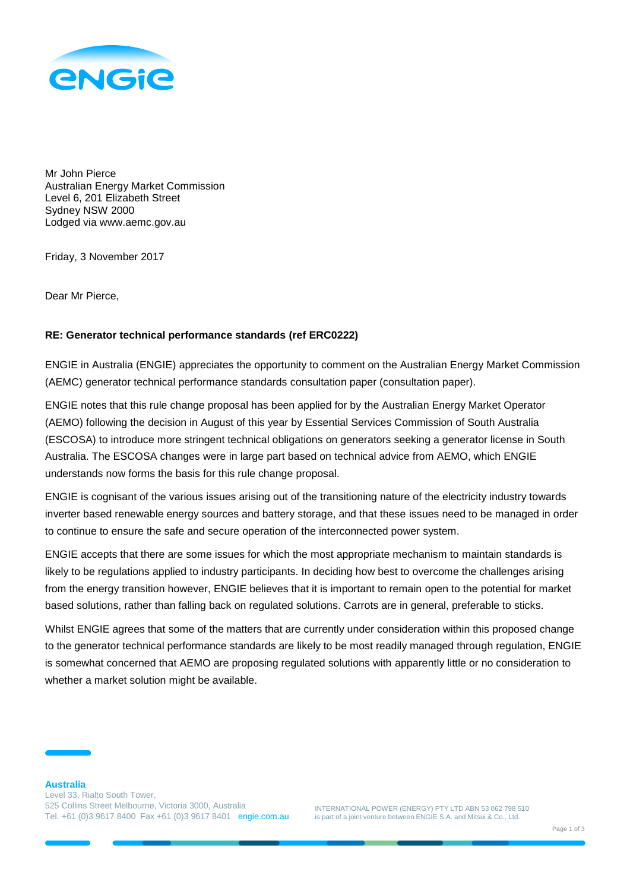

Mr John Pierce Australian Energy Market Commission Level 6, 201 Elizabeth Street Sydney NSW 2000 Lodged via www.aemc.gov.au

Friday, 3 November 2017

Dear Mr Pierce,

## **RE: Generator technical performance standards (ref ERC0222)**

ENGIE in Australia (ENGIE) appreciates the opportunity to comment on the Australian Energy Market Commission (AEMC) generator technical performance standards consultation paper (consultation paper).

ENGIE notes that this rule change proposal has been applied for by the Australian Energy Market Operator (AEMO) following the decision in August of this year by Essential Services Commission of South Australia (ESCOSA) to introduce more stringent technical obligations on generators seeking a generator license in South Australia. The ESCOSA changes were in large part based on technical advice from AEMO, which ENGIE understands now forms the basis for this rule change proposal.

ENGIE is cognisant of the various issues arising out of the transitioning nature of the electricity industry towards inverter based renewable energy sources and battery storage, and that these issues need to be managed in order to continue to ensure the safe and secure operation of the interconnected power system.

ENGIE accepts that there are some issues for which the most appropriate mechanism to maintain standards is likely to be regulations applied to industry participants. In deciding how best to overcome the challenges arising from the energy transition however, ENGIE believes that it is important to remain open to the potential for market based solutions, rather than falling back on regulated solutions. Carrots are in general, preferable to sticks.

Whilst ENGIE agrees that some of the matters that are currently under consideration within this proposed change to the generator technical performance standards are likely to be most readily managed through regulation, ENGIE is somewhat concerned that AEMO are proposing regulated solutions with apparently little or no consideration to whether a market solution might be available.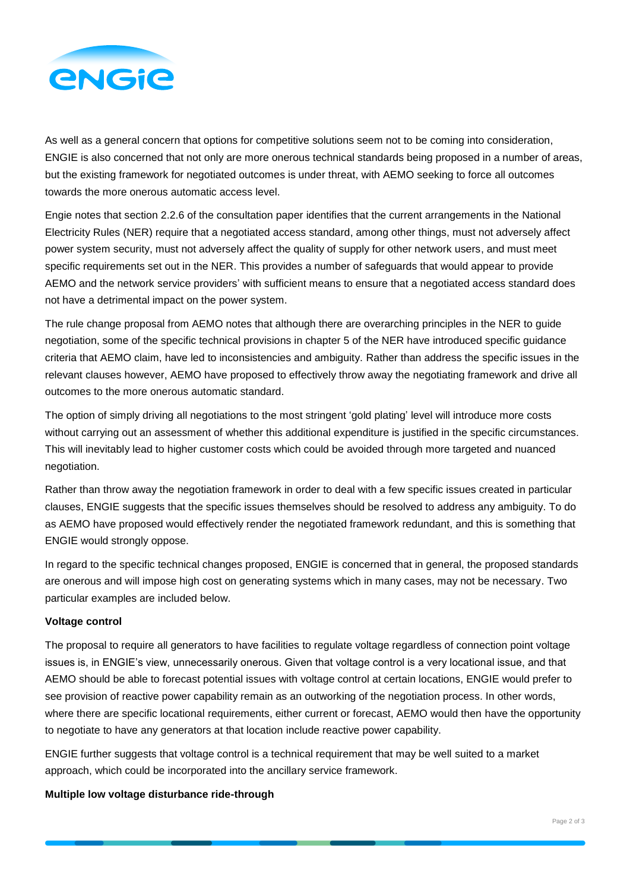

As well as a general concern that options for competitive solutions seem not to be coming into consideration, ENGIE is also concerned that not only are more onerous technical standards being proposed in a number of areas, but the existing framework for negotiated outcomes is under threat, with AEMO seeking to force all outcomes towards the more onerous automatic access level.

Engie notes that section 2.2.6 of the consultation paper identifies that the current arrangements in the National Electricity Rules (NER) require that a negotiated access standard, among other things, must not adversely affect power system security, must not adversely affect the quality of supply for other network users, and must meet specific requirements set out in the NER. This provides a number of safeguards that would appear to provide AEMO and the network service providers' with sufficient means to ensure that a negotiated access standard does not have a detrimental impact on the power system.

The rule change proposal from AEMO notes that although there are overarching principles in the NER to guide negotiation, some of the specific technical provisions in chapter 5 of the NER have introduced specific guidance criteria that AEMO claim, have led to inconsistencies and ambiguity. Rather than address the specific issues in the relevant clauses however, AEMO have proposed to effectively throw away the negotiating framework and drive all outcomes to the more onerous automatic standard.

The option of simply driving all negotiations to the most stringent 'gold plating' level will introduce more costs without carrying out an assessment of whether this additional expenditure is justified in the specific circumstances. This will inevitably lead to higher customer costs which could be avoided through more targeted and nuanced negotiation.

Rather than throw away the negotiation framework in order to deal with a few specific issues created in particular clauses, ENGIE suggests that the specific issues themselves should be resolved to address any ambiguity. To do as AEMO have proposed would effectively render the negotiated framework redundant, and this is something that ENGIE would strongly oppose.

In regard to the specific technical changes proposed, ENGIE is concerned that in general, the proposed standards are onerous and will impose high cost on generating systems which in many cases, may not be necessary. Two particular examples are included below.

## **Voltage control**

The proposal to require all generators to have facilities to regulate voltage regardless of connection point voltage issues is, in ENGIE's view, unnecessarily onerous. Given that voltage control is a very locational issue, and that AEMO should be able to forecast potential issues with voltage control at certain locations, ENGIE would prefer to see provision of reactive power capability remain as an outworking of the negotiation process. In other words, where there are specific locational requirements, either current or forecast, AEMO would then have the opportunity to negotiate to have any generators at that location include reactive power capability.

ENGIE further suggests that voltage control is a technical requirement that may be well suited to a market approach, which could be incorporated into the ancillary service framework.

## **Multiple low voltage disturbance ride-through**